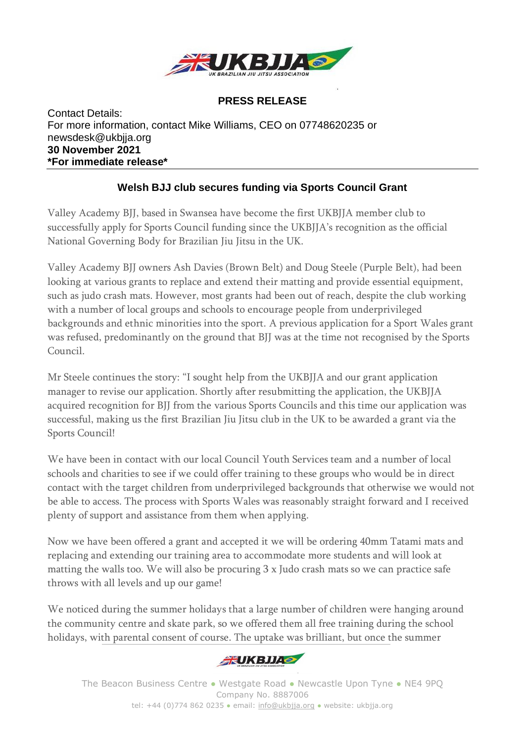

## **PRESS RELEASE**

Contact Details: For more information, contact Mike Williams, CEO on 07748620235 or newsdesk@ukbjja.org **30 November 2021 \*For immediate release\***

## **Welsh BJJ club secures funding via Sports Council Grant**

Valley Academy BJJ, based in Swansea have become the first UKBJJA member club to successfully apply for Sports Council funding since the UKBJJA's recognition as the official National Governing Body for Brazilian Jiu Jitsu in the UK.

Valley Academy BJJ owners Ash Davies (Brown Belt) and Doug Steele (Purple Belt), had been looking at various grants to replace and extend their matting and provide essential equipment, such as judo crash mats. However, most grants had been out of reach, despite the club working with a number of local groups and schools to encourage people from underprivileged backgrounds and ethnic minorities into the sport. A previous application for a Sport Wales grant was refused, predominantly on the ground that BJJ was at the time not recognised by the Sports Council.

Mr Steele continues the story: "I sought help from the UKBJJA and our grant application manager to revise our application. Shortly after resubmitting the application, the UKBJJA acquired recognition for BJJ from the various Sports Councils and this time our application was successful, making us the first Brazilian Jiu Jitsu club in the UK to be awarded a grant via the Sports Council!

We have been in contact with our local Council Youth Services team and a number of local schools and charities to see if we could offer training to these groups who would be in direct contact with the target children from underprivileged backgrounds that otherwise we would not be able to access. The process with Sports Wales was reasonably straight forward and I received plenty of support and assistance from them when applying.

Now we have been offered a grant and accepted it we will be ordering 40mm Tatami mats and replacing and extending our training area to accommodate more students and will look at matting the walls too. We will also be procuring 3 x Judo crash mats so we can practice safe throws with all levels and up our game!

We noticed during the summer holidays that a large number of children were hanging around the community centre and skate park, so we offered them all free training during the school holidays, with parental consent of course. The uptake was brilliant, but once the summer



The Beacon Business Centre ● Westgate Road ● Newcastle Upon Tyne ● NE4 9PQ Company No. 8887006 tel: +44 (0)774 862 0235 · email: [info@ukbjja.org](mailto:info@ukbjja.org) · website: ukbjja.org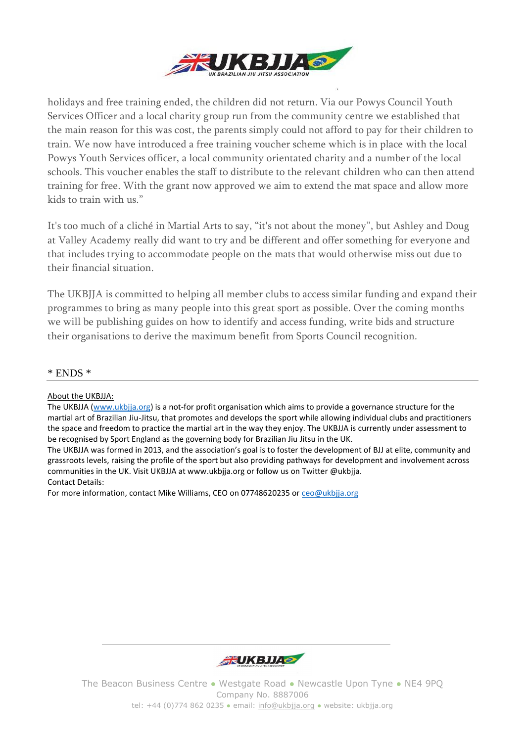

holidays and free training ended, the children did not return. Via our Powys Council Youth Services Officer and a local charity group run from the community centre we established that the main reason for this was cost, the parents simply could not afford to pay for their children to train. We now have introduced a free training voucher scheme which is in place with the local Powys Youth Services officer, a local community orientated charity and a number of the local schools. This voucher enables the staff to distribute to the relevant children who can then attend training for free. With the grant now approved we aim to extend the mat space and allow more kids to train with us."

It's too much of a cliché in Martial Arts to say, "it's not about the money", but Ashley and Doug at Valley Academy really did want to try and be different and offer something for everyone and that includes trying to accommodate people on the mats that would otherwise miss out due to their financial situation.

The UKBJJA is committed to helping all member clubs to access similar funding and expand their programmes to bring as many people into this great sport as possible. Over the coming months we will be publishing guides on how to identify and access funding, write bids and structure their organisations to derive the maximum benefit from Sports Council recognition.

## \* ENDS \*

About the UKBJJA:

The UKBJJA [\(www.ukbjja.org\)](http://www.ukbjja.org/) is a not-for profit organisation which aims to provide a governance structure for the martial art of Brazilian Jiu-Jitsu, that promotes and develops the sport while allowing individual clubs and practitioners the space and freedom to practice the martial art in the way they enjoy. The UKBJJA is currently under assessment to be recognised by Sport England as the governing body for Brazilian Jiu Jitsu in the UK.

The UKBJJA was formed in 2013, and the association's goal is to foster the development of BJJ at elite, community and grassroots levels, raising the profile of the sport but also providing pathways for development and involvement across communities in the UK. Visit UKBJJA at www.ukbjja.org or follow us on Twitter @ukbjja. Contact Details:

For more information, contact Mike Williams, CEO on 07748620235 or [ceo@ukbjja.org](mailto:ceo@ukbjja.org)



The Beacon Business Centre ● Westgate Road ● Newcastle Upon Tyne ● NE4 9PQ Company No. 8887006 tel: +44 (0)774 862 0235 · email: [info@ukbjja.org](mailto:info@ukbjja.org) · website: ukbjja.org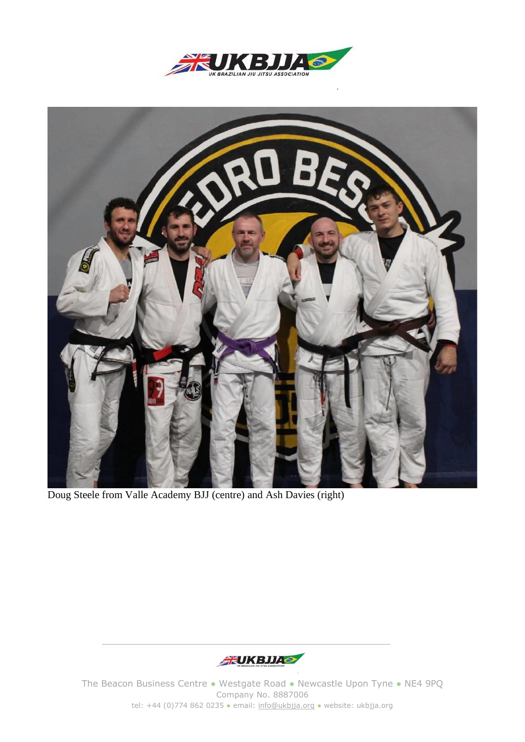



Doug Steele from Valle Academy BJJ (centre) and Ash Davies (right)



The Beacon Business Centre • Westgate Road • Newcastle Upon Tyne • NE4 9PQ Company No. 8887006 tel: +44 (0)774 862 0235 · email: [info@ukbjja.org](mailto:info@ukbjja.org) · website: ukbjja.org